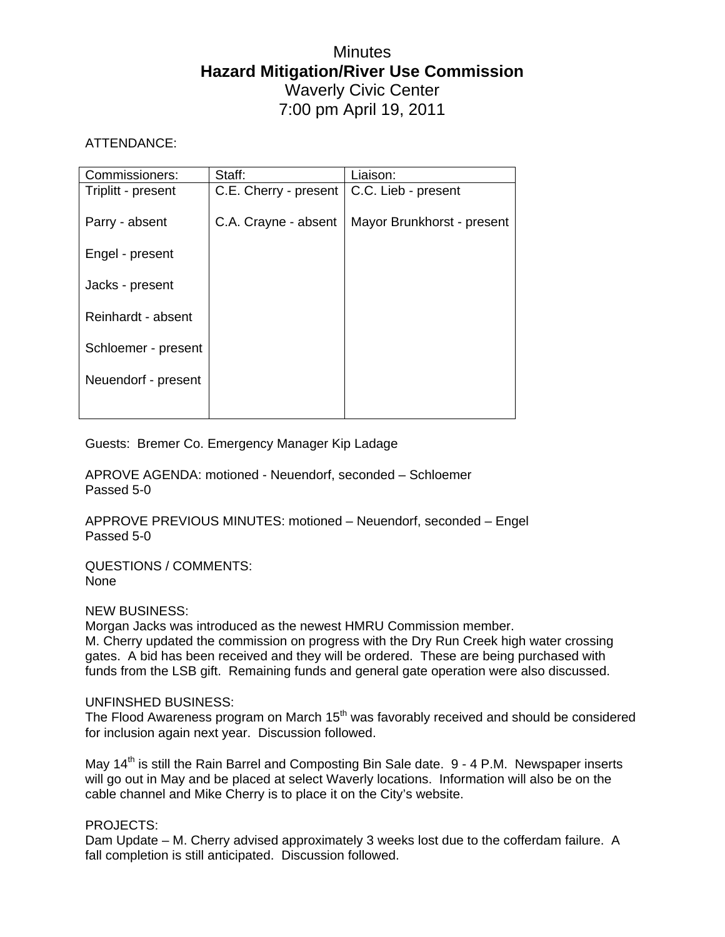# **Minutes Hazard Mitigation/River Use Commission**  Waverly Civic Center 7:00 pm April 19, 2011

# ATTENDANCE:

| Commissioners:      | Staff:                | Liaison:                   |
|---------------------|-----------------------|----------------------------|
| Triplitt - present  | C.E. Cherry - present | C.C. Lieb - present        |
|                     |                       |                            |
| Parry - absent      | C.A. Crayne - absent  | Mayor Brunkhorst - present |
|                     |                       |                            |
| Engel - present     |                       |                            |
|                     |                       |                            |
| Jacks - present     |                       |                            |
| Reinhardt - absent  |                       |                            |
|                     |                       |                            |
| Schloemer - present |                       |                            |
|                     |                       |                            |
| Neuendorf - present |                       |                            |
|                     |                       |                            |
|                     |                       |                            |

Guests: Bremer Co. Emergency Manager Kip Ladage

APROVE AGENDA: motioned - Neuendorf, seconded – Schloemer Passed 5-0

APPROVE PREVIOUS MINUTES: motioned – Neuendorf, seconded – Engel Passed 5-0

QUESTIONS / COMMENTS: None

# NEW BUSINESS:

Morgan Jacks was introduced as the newest HMRU Commission member. M. Cherry updated the commission on progress with the Dry Run Creek high water crossing gates. A bid has been received and they will be ordered. These are being purchased with funds from the LSB gift. Remaining funds and general gate operation were also discussed.

# UNFINSHED BUSINESS:

The Flood Awareness program on March  $15<sup>th</sup>$  was favorably received and should be considered for inclusion again next year. Discussion followed.

May  $14<sup>th</sup>$  is still the Rain Barrel and Composting Bin Sale date. 9 - 4 P.M. Newspaper inserts will go out in May and be placed at select Waverly locations. Information will also be on the cable channel and Mike Cherry is to place it on the City's website.

# PROJECTS:

Dam Update – M. Cherry advised approximately 3 weeks lost due to the cofferdam failure. A fall completion is still anticipated. Discussion followed.